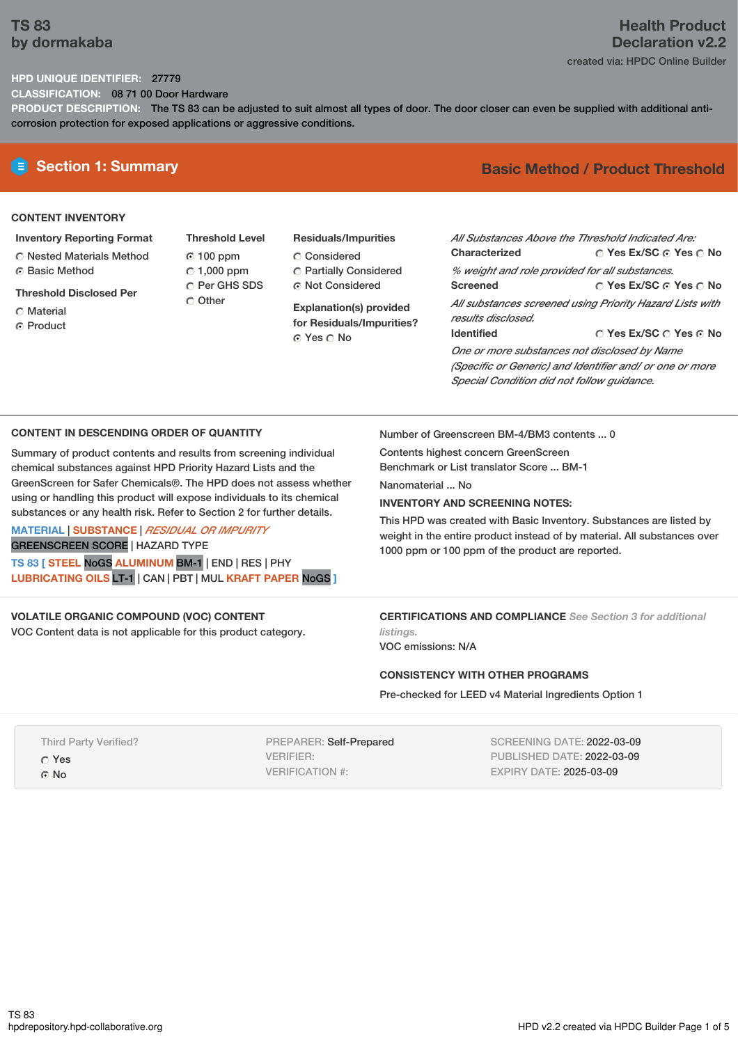## **TS 83 by dormakaba**

# **Health Product Declaration v2.2**

## created via: HPDC Online Builder

## **HPD UNIQUE IDENTIFIER:** 27779

**CLASSIFICATION:** 08 71 00 Door Hardware

**PRODUCT DESCRIPTION:** The TS 83 can be adjusted to suit almost all types of door. The door closer can even be supplied with additional anticorrosion protection for exposed applications or aggressive conditions.

## **CONTENT INVENTORY**

- **Inventory Reporting Format**
- Nested Materials Method **G** Basic Method
- **Threshold Disclosed Per**
- Material
- ⊙ Product
- **Threshold Level** 100 ppm  $\degree$  1,000 ppm C Per GHS SDS Other
- **Residuals/Impurities** Considered Partially Considered Not Considered

**Explanation(s) provided for Residuals/Impurities?** Yes No

# **E** Section 1: Summary **Basic** Method / Product Threshold

| All Substances Above the Threshold Indicated Are:        |                        |  |  |  |
|----------------------------------------------------------|------------------------|--|--|--|
| Characterized                                            | ○ Yes Ex/SC ⊙ Yes ○ No |  |  |  |
| % weight and role provided for all substances.           |                        |  |  |  |
| <b>Screened</b>                                          | ∩ Yes Ex/SC ∩ Yes ∩ No |  |  |  |
| All substances screened using Priority Hazard Lists with |                        |  |  |  |
| results disclosed.                                       |                        |  |  |  |
| <b>Identified</b>                                        | ○ Yes Ex/SC ○ Yes ⊙ No |  |  |  |
| One or more substances not disclosed by Name             |                        |  |  |  |

*(Specific or Generic) and Identifier and/ or one or more Special Condition did not follow guidance.*

#### **CONTENT IN DESCENDING ORDER OF QUANTITY**

Summary of product contents and results from screening individual chemical substances against HPD Priority Hazard Lists and the GreenScreen for Safer Chemicals®. The HPD does not assess whether using or handling this product will expose individuals to its chemical substances or any health risk. Refer to Section 2 for further details.

#### **MATERIAL** | **SUBSTANCE** | *RESIDUAL OR IMPURITY* GREENSCREEN SCORE | HAZARD TYPE

**TS 83 [ STEEL** NoGS **ALUMINUM** BM-1 | END | RES | PHY **LUBRICATING OILS** LT-1 | CAN | PBT | MUL **KRAFT PAPER** NoGS **]**

### **VOLATILE ORGANIC COMPOUND (VOC) CONTENT**

VOC Content data is not applicable for this product category.

Number of Greenscreen BM-4/BM3 contents ... 0

Contents highest concern GreenScreen Benchmark or List translator Score ... BM-1

Nanomaterial No.

#### **INVENTORY AND SCREENING NOTES:**

This HPD was created with Basic Inventory. Substances are listed by weight in the entire product instead of by material. All substances over 1000 ppm or 100 ppm of the product are reported.

**CERTIFICATIONS AND COMPLIANCE** *See Section 3 for additional listings.*

VOC emissions: N/A

#### **CONSISTENCY WITH OTHER PROGRAMS**

Pre-checked for LEED v4 Material Ingredients Option 1

Third Party Verified? Yes G No

PREPARER: Self-Prepared VERIFIER: VERIFICATION #:

SCREENING DATE: 2022-03-09 PUBLISHED DATE: 2022-03-09 EXPIRY DATE: 2025-03-09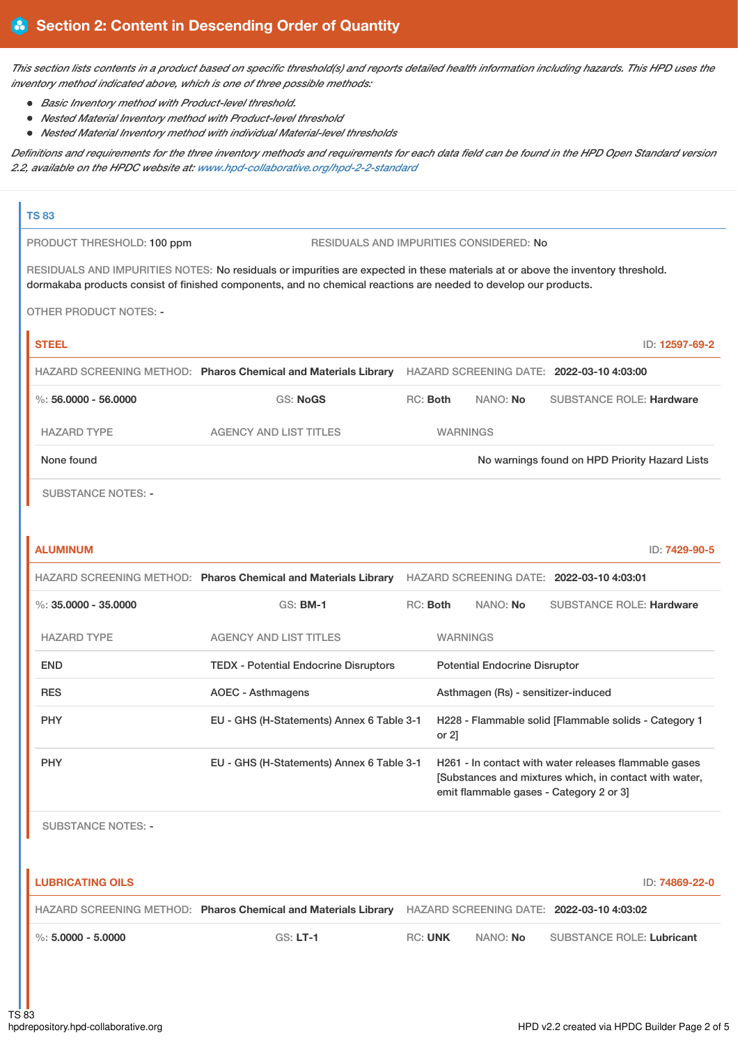This section lists contents in a product based on specific threshold(s) and reports detailed health information including hazards. This HPD uses the *inventory method indicated above, which is one of three possible methods:*

- *Basic Inventory method with Product-level threshold.*
- *Nested Material Inventory method with Product-level threshold*
- *Nested Material Inventory method with individual Material-level thresholds*

Definitions and requirements for the three inventory methods and requirements for each data field can be found in the HPD Open Standard version *2.2, available on the HPDC website at: [www.hpd-collaborative.org/hpd-2-2-standard](https://www.hpd-collaborative.org/hpd-2-2-standard)*

#### **TS 83**

PRODUCT THRESHOLD: 100 ppm RESIDUALS AND IMPURITIES CONSIDERED: No

RESIDUALS AND IMPURITIES NOTES: No residuals or impurities are expected in these materials at or above the inventory threshold. dormakaba products consist of finished components, and no chemical reactions are needed to develop our products.

OTHER PRODUCT NOTES: -

| <b>STEEL</b>         |                                                                |          |                 | ID: 12597-69-2                                 |
|----------------------|----------------------------------------------------------------|----------|-----------------|------------------------------------------------|
|                      | HAZARD SCREENING METHOD: Pharos Chemical and Materials Library |          |                 | HAZARD SCREENING DATE: 2022-03-10 4:03:00      |
| %: 56,0000 - 56,0000 | GS: NoGS                                                       | RC: Both | NANO: No        | <b>SUBSTANCE ROLE: Hardware</b>                |
| <b>HAZARD TYPE</b>   | AGENCY AND LIST TITLES                                         |          | <b>WARNINGS</b> |                                                |
| None found           |                                                                |          |                 | No warnings found on HPD Priority Hazard Lists |
|                      |                                                                |          |                 |                                                |

SUBSTANCE NOTES: -

| ID: 7429-90-5                                                                                                                                             |  |  |
|-----------------------------------------------------------------------------------------------------------------------------------------------------------|--|--|
| HAZARD SCREENING DATE: 2022-03-10 4:03:01                                                                                                                 |  |  |
| <b>SUBSTANCE ROLE: Hardware</b>                                                                                                                           |  |  |
|                                                                                                                                                           |  |  |
| <b>Potential Endocrine Disruptor</b>                                                                                                                      |  |  |
| Asthmagen (Rs) - sensitizer-induced                                                                                                                       |  |  |
| H228 - Flammable solid [Flammable solids - Category 1<br>or $2$ ]                                                                                         |  |  |
| H261 - In contact with water releases flammable gases<br>[Substances and mixtures which, in contact with water,<br>emit flammable gases - Category 2 or 3 |  |  |
|                                                                                                                                                           |  |  |

SUBSTANCE NOTES: -

| <b>LUBRICATING OILS</b><br>ID: <b>74869-22-0</b> |                                                                |                |                 |                                           |
|--------------------------------------------------|----------------------------------------------------------------|----------------|-----------------|-------------------------------------------|
|                                                  | HAZARD SCREENING METHOD: Pharos Chemical and Materials Library |                |                 | HAZARD SCREENING DATE: 2022-03-10 4:03:02 |
| %: 5.0000 - 5.0000                               | $GS: LT-1$                                                     | <b>RC: UNK</b> | NANO: <b>No</b> | <b>SUBSTANCE ROLE: Lubricant</b>          |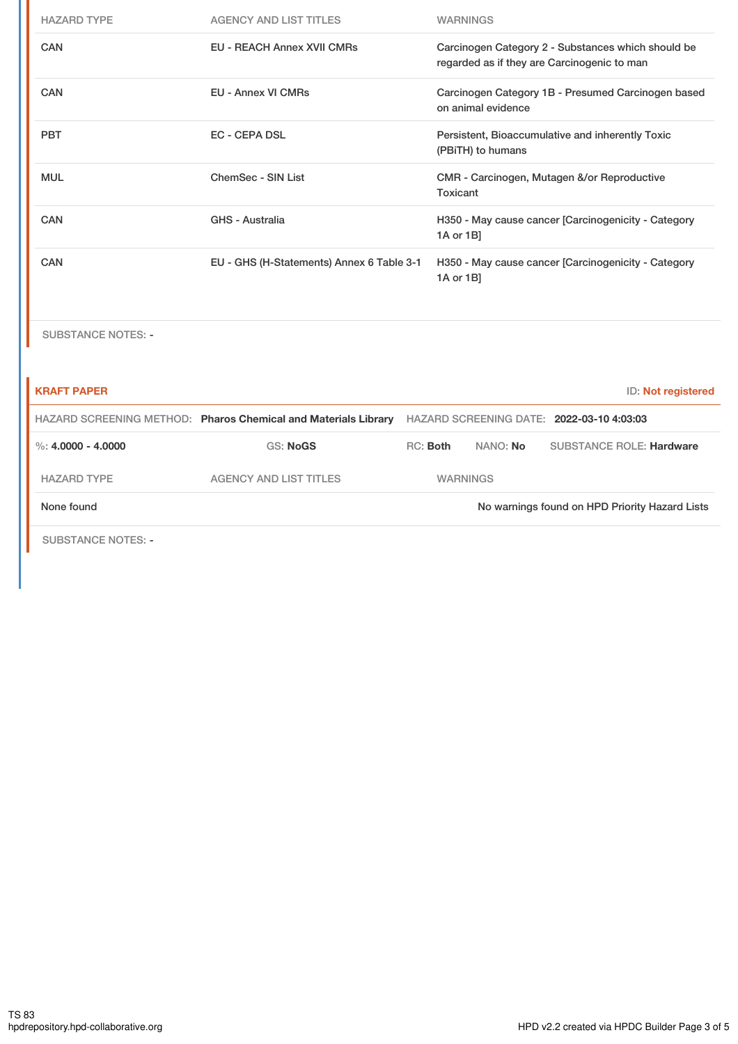| <b>HAZARD TYPE</b>        | <b>AGENCY AND LIST TITLES</b>                                  |                                                                  |           | <b>WARNINGS</b>    |                                                                                                   |                    |
|---------------------------|----------------------------------------------------------------|------------------------------------------------------------------|-----------|--------------------|---------------------------------------------------------------------------------------------------|--------------------|
| <b>CAN</b>                | <b>EU - REACH Annex XVII CMRs</b>                              |                                                                  |           |                    | Carcinogen Category 2 - Substances which should be<br>regarded as if they are Carcinogenic to man |                    |
| <b>CAN</b>                | <b>EU - Annex VI CMRs</b>                                      |                                                                  |           | on animal evidence | Carcinogen Category 1B - Presumed Carcinogen based                                                |                    |
| <b>PBT</b>                | <b>EC - CEPA DSL</b>                                           |                                                                  |           | (PBiTH) to humans  | Persistent, Bioaccumulative and inherently Toxic                                                  |                    |
| <b>MUL</b>                | ChemSec - SIN List                                             |                                                                  | Toxicant  |                    | CMR - Carcinogen, Mutagen &/or Reproductive                                                       |                    |
| <b>CAN</b>                | <b>GHS - Australia</b>                                         | H350 - May cause cancer [Carcinogenicity - Category<br>1A or 1B] |           |                    |                                                                                                   |                    |
| CAN                       | EU - GHS (H-Statements) Annex 6 Table 3-1                      |                                                                  | 1A or 1B] |                    | H350 - May cause cancer [Carcinogenicity - Category                                               |                    |
| <b>SUBSTANCE NOTES: -</b> |                                                                |                                                                  |           |                    |                                                                                                   |                    |
| <b>KRAFT PAPER</b>        |                                                                |                                                                  |           |                    |                                                                                                   | ID: Not registered |
|                           | HAZARD SCREENING METHOD: Pharos Chemical and Materials Library |                                                                  |           |                    | HAZARD SCREENING DATE: 2022-03-10 4:03:03                                                         |                    |
| %: $4.0000 - 4.0000$      | <b>GS: NoGS</b>                                                | RC: Both                                                         |           | NANO: No           | <b>SUBSTANCE ROLE: Hardware</b>                                                                   |                    |
| <b>HAZARD TYPE</b>        | <b>AGENCY AND LIST TITLES</b>                                  |                                                                  |           | <b>WARNINGS</b>    |                                                                                                   |                    |
| None found                |                                                                |                                                                  |           |                    | No warnings found on HPD Priority Hazard Lists                                                    |                    |
| <b>SUBSTANCE NOTES: -</b> |                                                                |                                                                  |           |                    |                                                                                                   |                    |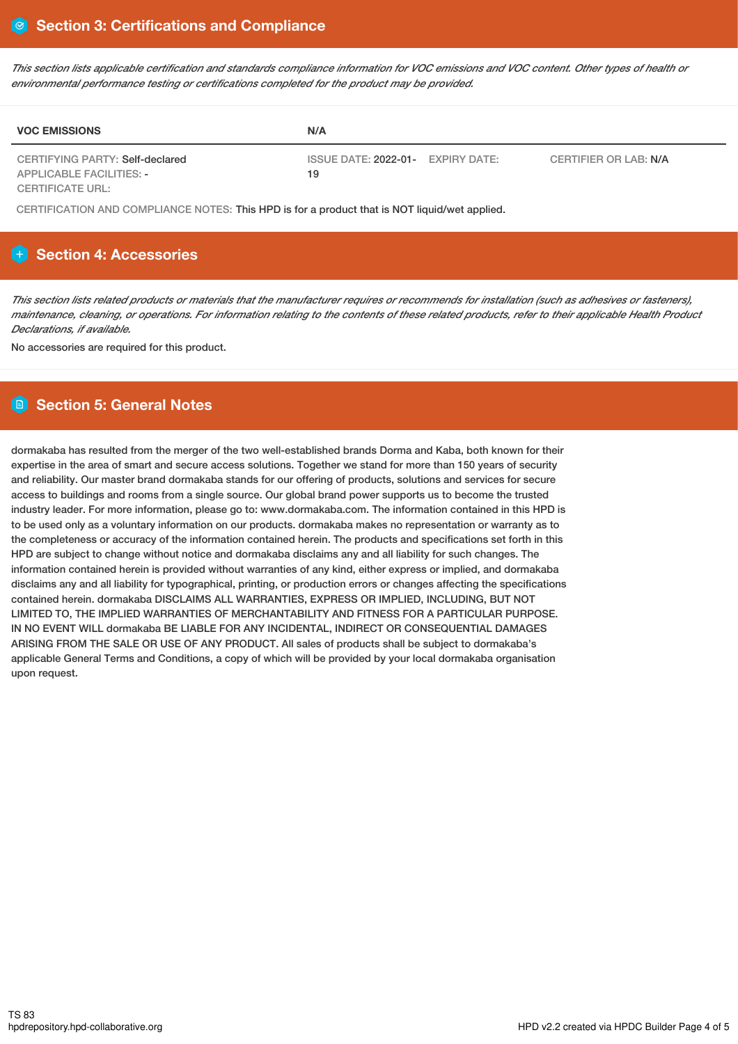This section lists applicable certification and standards compliance information for VOC emissions and VOC content. Other types of health or *environmental performance testing or certifications completed for the product may be provided.*

| <b>VOC EMISSIONS</b>                                               | N/A                                               |                       |
|--------------------------------------------------------------------|---------------------------------------------------|-----------------------|
| CERTIFYING PARTY: Self-declared<br><b>APPLICABLE FACILITIES: -</b> | ISSUE DATE: 2022-01-<br><b>EXPIRY DATE:</b><br>19 | CERTIFIER OR LAB: N/A |
| CERTIFICATE URL:                                                   |                                                   |                       |

CERTIFICATION AND COMPLIANCE NOTES: This HPD is for a product that is NOT liquid/wet applied.

## **Section 4: Accessories**

This section lists related products or materials that the manufacturer requires or recommends for installation (such as adhesives or fasteners), maintenance, cleaning, or operations. For information relating to the contents of these related products, refer to their applicable Health Product *Declarations, if available.*

No accessories are required for this product.

## **Section 5: General Notes**

dormakaba has resulted from the merger of the two well-established brands Dorma and Kaba, both known for their expertise in the area of smart and secure access solutions. Together we stand for more than 150 years of security and reliability. Our master brand dormakaba stands for our offering of products, solutions and services for secure access to buildings and rooms from a single source. Our global brand power supports us to become the trusted industry leader. For more information, please go to: www.dormakaba.com. The information contained in this HPD is to be used only as a voluntary information on our products. dormakaba makes no representation or warranty as to the completeness or accuracy of the information contained herein. The products and specifications set forth in this HPD are subject to change without notice and dormakaba disclaims any and all liability for such changes. The information contained herein is provided without warranties of any kind, either express or implied, and dormakaba disclaims any and all liability for typographical, printing, or production errors or changes affecting the specifications contained herein. dormakaba DISCLAIMS ALL WARRANTIES, EXPRESS OR IMPLIED, INCLUDING, BUT NOT LIMITED TO, THE IMPLIED WARRANTIES OF MERCHANTABILITY AND FITNESS FOR A PARTICULAR PURPOSE. IN NO EVENT WILL dormakaba BE LIABLE FOR ANY INCIDENTAL, INDIRECT OR CONSEQUENTIAL DAMAGES ARISING FROM THE SALE OR USE OF ANY PRODUCT. All sales of products shall be subject to dormakaba's applicable General Terms and Conditions, a copy of which will be provided by your local dormakaba organisation upon request.